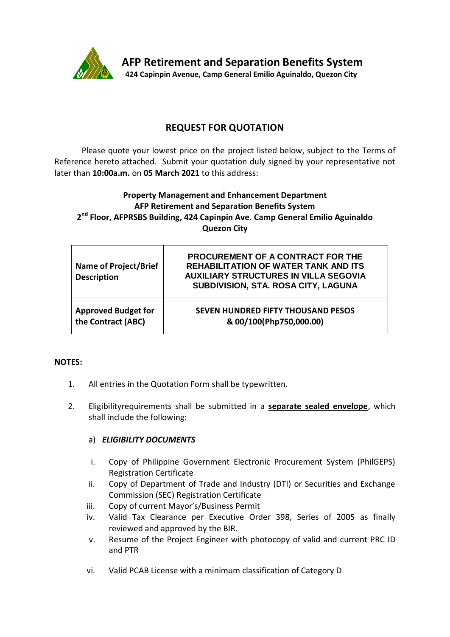

## **REQUEST FOR QUOTATION**

Please quote your lowest price on the project listed below, subject to the Terms of Reference hereto attached. Submit your quotation duly signed by your representative not later than **10:00a.m.** on **05 March 2021** to this address:

## **Property Management and Enhancement Department AFP Retirement and Separation Benefits System 2 nd Floor, AFPRSBS Building, 424 Capinpin Ave. Camp General Emilio Aguinaldo Quezon City**

| <b>Name of Project/Brief</b><br><b>Description</b> | <b>PROCUREMENT OF A CONTRACT FOR THE</b><br><b>REHABILITATION OF WATER TANK AND ITS</b><br><b>AUXILIARY STRUCTURES IN VILLA SEGOVIA</b><br>SUBDIVISION, STA. ROSA CITY, LAGUNA |
|----------------------------------------------------|--------------------------------------------------------------------------------------------------------------------------------------------------------------------------------|
| <b>Approved Budget for</b>                         | SEVEN HUNDRED FIFTY THOUSAND PESOS                                                                                                                                             |
| the Contract (ABC)                                 | & 00/100(Php750,000.00)                                                                                                                                                        |

#### **NOTES:**

- 1. All entries in the Quotation Form shall be typewritten.
- 2. Eligibilityrequirements shall be submitted in a **separate sealed envelope**, which shall include the following:

## a) *ELIGIBILITY DOCUMENTS*

- i. Copy of Philippine Government Electronic Procurement System (PhilGEPS) Registration Certificate
- ii. Copy of Department of Trade and Industry (DTI) or Securities and Exchange Commission (SEC) Registration Certificate
- iii. Copy of current Mayor's/Business Permit
- iv. Valid Tax Clearance per Executive Order 398, Series of 2005 as finally reviewed and approved by the BIR.
- v. Resume of the Project Engineer with photocopy of valid and current PRC ID and PTR
- vi. Valid PCAB License with a minimum classification of Category D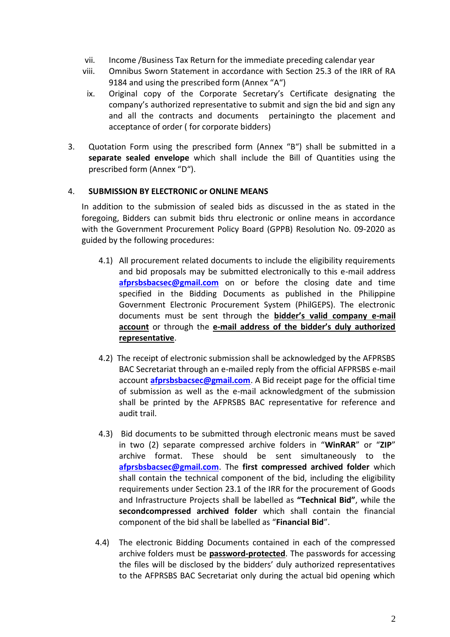- vii. Income /Business Tax Return for the immediate preceding calendar year
- viii. Omnibus Sworn Statement in accordance with Section 25.3 of the IRR of RA 9184 and using the prescribed form (Annex "A")
- ix. Original copy of the Corporate Secretary's Certificate designating the company's authorized representative to submit and sign the bid and sign any and all the contracts and documents pertainingto the placement and acceptance of order ( for corporate bidders)
- 3. Quotation Form using the prescribed form (Annex "B") shall be submitted in a **separate sealed envelope** which shall include the Bill of Quantities using the prescribed form (Annex "D").

#### 4. **SUBMISSION BY ELECTRONIC or ONLINE MEANS**

In addition to the submission of sealed bids as discussed in the as stated in the foregoing, Bidders can submit bids thru electronic or online means in accordance with the Government Procurement Policy Board (GPPB) Resolution No. 09-2020 as guided by the following procedures:

- 4.1) All procurement related documents to include the eligibility requirements and bid proposals may be submitted electronically to this e-mail address **[afprsbsbacsec@gmail.com](mailto:afprsbsbacsec@gmail.com)** on or before the closing date and time specified in the Bidding Documents as published in the Philippine Government Electronic Procurement System (PhilGEPS). The electronic documents must be sent through the **bidder's valid company e-mail account** or through the **e-mail address of the bidder's duly authorized representative**.
- 4.2) The receipt of electronic submission shall be acknowledged by the AFPRSBS BAC Secretariat through an e-mailed reply from the official AFPRSBS e-mail account **[afprsbsbacsec@gmail.com](mailto:afprsbsbacsec@gmail.com)**. A Bid receipt page for the official time of submission as well as the e-mail acknowledgment of the submission shall be printed by the AFPRSBS BAC representative for reference and audit trail.
- 4.3) Bid documents to be submitted through electronic means must be saved in two (2) separate compressed archive folders in "**WinRAR**" or "**ZIP**" archive format. These should be sent simultaneously to the **[afprsbsbacsec@gmail.com](mailto:afprsbsbacsec@gmail.com)**. The **first compressed archived folder** which shall contain the technical component of the bid, including the eligibility requirements under Section 23.1 of the IRR for the procurement of Goods and Infrastructure Projects shall be labelled as **"Technical Bid"**, while the **secondcompressed archived folder** which shall contain the financial component of the bid shall be labelled as "**Financial Bid**".
- 4.4) The electronic Bidding Documents contained in each of the compressed archive folders must be **password-protected**. The passwords for accessing the files will be disclosed by the bidders' duly authorized representatives to the AFPRSBS BAC Secretariat only during the actual bid opening which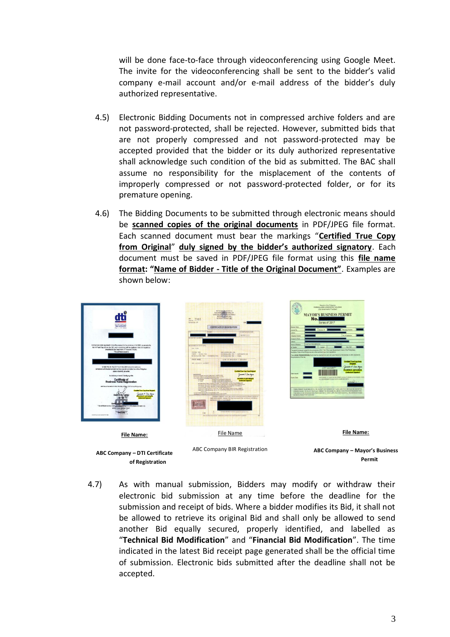will be done face-to-face through videoconferencing using Google Meet. The invite for the videoconferencing shall be sent to the bidder's valid company e-mail account and/or e-mail address of the bidder's duly authorized representative.

- 4.5) Electronic Bidding Documents not in compressed archive folders and are not password-protected, shall be rejected. However, submitted bids that are not properly compressed and not password-protected may be accepted provided that the bidder or its duly authorized representative shall acknowledge such condition of the bid as submitted. The BAC shall assume no responsibility for the misplacement of the contents of improperly compressed or not password-protected folder, or for its premature opening.
- 4.6) The Bidding Documents to be submitted through electronic means should be **scanned copies of the original documents** in PDF/JPEG file format. Each scanned document must bear the markings "**Certified True Copy from Original**" **duly signed by the bidder's authorized signatory**. Each document must be saved in PDF/JPEG file format using this **file name format: "Name of Bidder - Title of the Original Document"**. Examples are shown below:



**ABC Company – DTI Certificate of Registration**

**ABC Company – Mayor's Business Permit** 

4.7) As with manual submission, Bidders may modify or withdraw their electronic bid submission at any time before the deadline for the submission and receipt of bids. Where a bidder modifies its Bid, it shall not **ABC Company – BIR**  be allowed to retrieve its original Bid and shall only be allowed to send another Bid equally secured, properly identified, and labelled as "**Technical Bid Modification**" and "**Financial Bid Modification**". The time indicated in the latest Bid receipt page generated shall be the official time of submission. Electronic bids submitted after the deadline shall not be accepted. **Registration**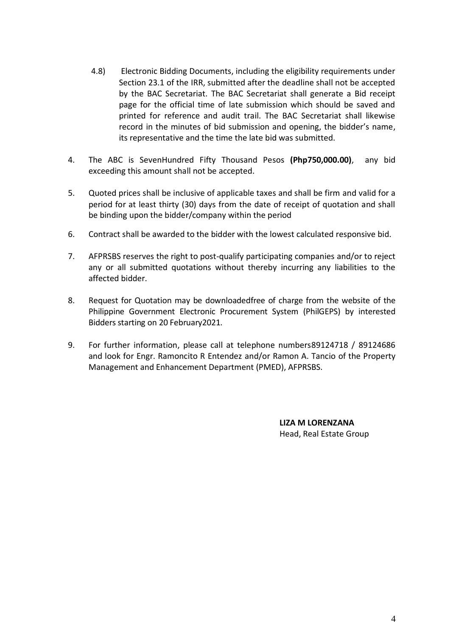- 4.8) Electronic Bidding Documents, including the eligibility requirements under Section 23.1 of the IRR, submitted after the deadline shall not be accepted by the BAC Secretariat. The BAC Secretariat shall generate a Bid receipt page for the official time of late submission which should be saved and printed for reference and audit trail. The BAC Secretariat shall likewise record in the minutes of bid submission and opening, the bidder's name, its representative and the time the late bid was submitted.
- 4. The ABC is SevenHundred Fifty Thousand Pesos **(Php750,000.00)**, any bid exceeding this amount shall not be accepted.
- 5. Quoted prices shall be inclusive of applicable taxes and shall be firm and valid for a period for at least thirty (30) days from the date of receipt of quotation and shall be binding upon the bidder/company within the period
- 6. Contract shall be awarded to the bidder with the lowest calculated responsive bid.
- 7. AFPRSBS reserves the right to post-qualify participating companies and/or to reject any or all submitted quotations without thereby incurring any liabilities to the affected bidder.
- 8. Request for Quotation may be downloadedfree of charge from the website of the Philippine Government Electronic Procurement System (PhilGEPS) by interested Bidders starting on 20 February2021.
- 9. For further information, please call at telephone numbers89124718 / 89124686 and look for Engr. Ramoncito R Entendez and/or Ramon A. Tancio of the Property Management and Enhancement Department (PMED), AFPRSBS.

**LIZA M LORENZANA** Head, Real Estate Group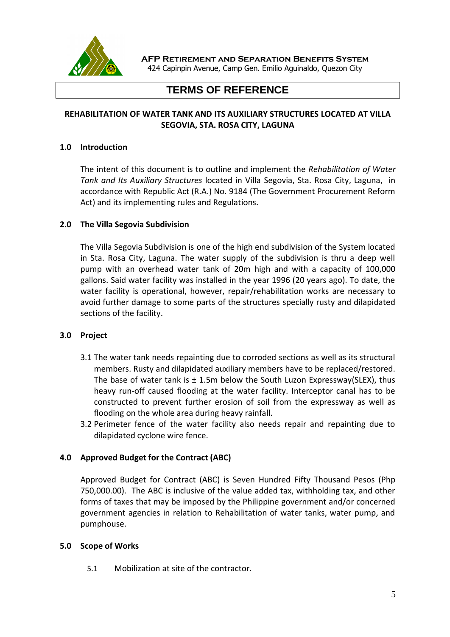

**AFP Retirement and Separation Benefits System**

424 Capinpin Avenue, Camp Gen. Emilio Aguinaldo, Quezon City

# **TERMS OF REFERENCE**

## **REHABILITATION OF WATER TANK AND ITS AUXILIARY STRUCTURES LOCATED AT VILLA SEGOVIA, STA. ROSA CITY, LAGUNA**

#### **1.0 Introduction**

The intent of this document is to outline and implement the *Rehabilitation of Water Tank and Its Auxiliary Structures* located in Villa Segovia, Sta. Rosa City, Laguna, in accordance with Republic Act (R.A.) No. 9184 (The Government Procurement Reform Act) and its implementing rules and Regulations.

#### **2.0 The Villa Segovia Subdivision**

The Villa Segovia Subdivision is one of the high end subdivision of the System located in Sta. Rosa City, Laguna. The water supply of the subdivision is thru a deep well pump with an overhead water tank of 20m high and with a capacity of 100,000 gallons. Said water facility was installed in the year 1996 (20 years ago). To date, the water facility is operational, however, repair/rehabilitation works are necessary to avoid further damage to some parts of the structures specially rusty and dilapidated sections of the facility.

#### **3.0 Project**

- 3.1 The water tank needs repainting due to corroded sections as well as its structural members. Rusty and dilapidated auxiliary members have to be replaced/restored. The base of water tank is  $\pm$  1.5m below the South Luzon Expressway(SLEX), thus heavy run-off caused flooding at the water facility. Interceptor canal has to be constructed to prevent further erosion of soil from the expressway as well as flooding on the whole area during heavy rainfall.
- 3.2 Perimeter fence of the water facility also needs repair and repainting due to dilapidated cyclone wire fence.

## **4.0 Approved Budget for the Contract (ABC)**

Approved Budget for Contract (ABC) is Seven Hundred Fifty Thousand Pesos (Php 750,000.00). The ABC is inclusive of the value added tax, withholding tax, and other forms of taxes that may be imposed by the Philippine government and/or concerned government agencies in relation to Rehabilitation of water tanks, water pump, and pumphouse.

#### **5.0 Scope of Works**

5.1 Mobilization at site of the contractor.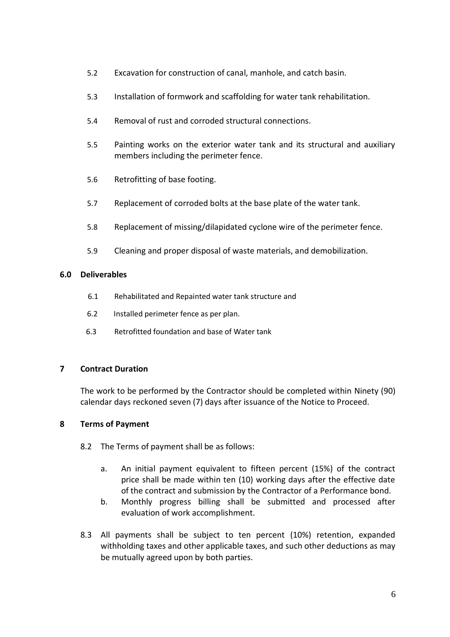- 5.2 Excavation for construction of canal, manhole, and catch basin.
- 5.3 Installation of formwork and scaffolding for water tank rehabilitation.
- 5.4 Removal of rust and corroded structural connections.
- 5.5 Painting works on the exterior water tank and its structural and auxiliary members including the perimeter fence.
- 5.6 Retrofitting of base footing.
- 5.7 Replacement of corroded bolts at the base plate of the water tank.
- 5.8 Replacement of missing/dilapidated cyclone wire of the perimeter fence.
- 5.9 Cleaning and proper disposal of waste materials, and demobilization.

#### **6.0 Deliverables**

- 6.1 Rehabilitated and Repainted water tank structure and
- 6.2 Installed perimeter fence as per plan.
- 6.3 Retrofitted foundation and base of Water tank

#### **7 Contract Duration**

The work to be performed by the Contractor should be completed within Ninety (90) calendar days reckoned seven (7) days after issuance of the Notice to Proceed.

## **8 Terms of Payment**

- 8.2 The Terms of payment shall be as follows:
	- a. An initial payment equivalent to fifteen percent (15%) of the contract price shall be made within ten (10) working days after the effective date of the contract and submission by the Contractor of a Performance bond.
	- b. Monthly progress billing shall be submitted and processed after evaluation of work accomplishment.
- 8.3 All payments shall be subject to ten percent (10%) retention, expanded withholding taxes and other applicable taxes, and such other deductions as may be mutually agreed upon by both parties.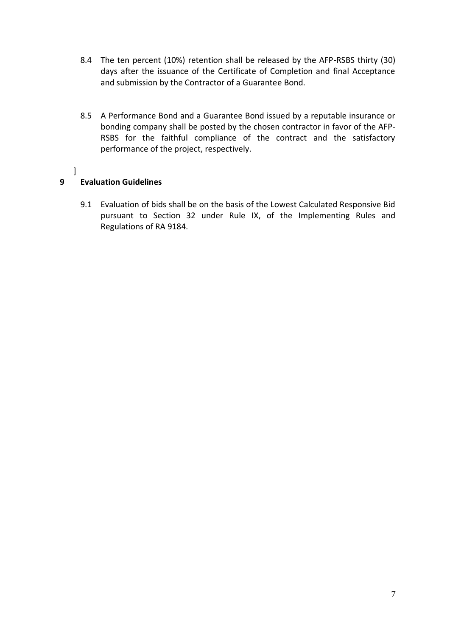- 8.4 The ten percent (10%) retention shall be released by the AFP-RSBS thirty (30) days after the issuance of the Certificate of Completion and final Acceptance and submission by the Contractor of a Guarantee Bond.
- 8.5 A Performance Bond and a Guarantee Bond issued by a reputable insurance or bonding company shall be posted by the chosen contractor in favor of the AFP-RSBS for the faithful compliance of the contract and the satisfactory performance of the project, respectively.
- ]

## **9 Evaluation Guidelines**

9.1 Evaluation of bids shall be on the basis of the Lowest Calculated Responsive Bid pursuant to Section 32 under Rule IX, of the Implementing Rules and Regulations of RA 9184.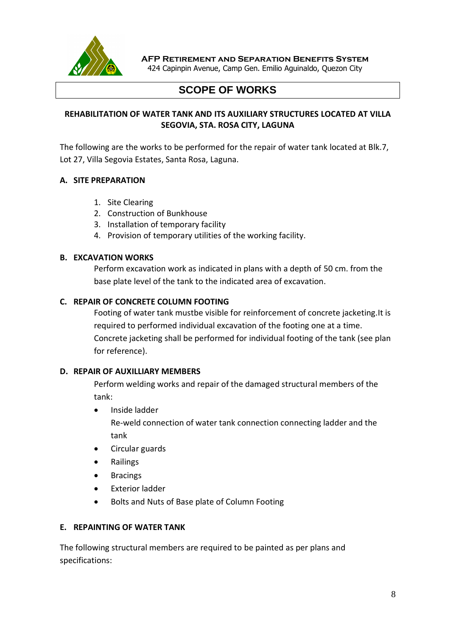

**AFP Retirement and Separation Benefits System**

424 Capinpin Avenue, Camp Gen. Emilio Aguinaldo, Quezon City

# **SCOPE OF WORKS**

## **REHABILITATION OF WATER TANK AND ITS AUXILIARY STRUCTURES LOCATED AT VILLA SEGOVIA, STA. ROSA CITY, LAGUNA**

The following are the works to be performed for the repair of water tank located at Blk.7, Lot 27, Villa Segovia Estates, Santa Rosa, Laguna.

## **A. SITE PREPARATION**

- 1. Site Clearing
- 2. Construction of Bunkhouse
- 3. Installation of temporary facility
- 4. Provision of temporary utilities of the working facility.

#### **B. EXCAVATION WORKS**

Perform excavation work as indicated in plans with a depth of 50 cm. from the base plate level of the tank to the indicated area of excavation.

#### **C. REPAIR OF CONCRETE COLUMN FOOTING**

Footing of water tank mustbe visible for reinforcement of concrete jacketing.It is required to performed individual excavation of the footing one at a time. Concrete jacketing shall be performed for individual footing of the tank (see plan for reference).

#### **D. REPAIR OF AUXILLIARY MEMBERS**

Perform welding works and repair of the damaged structural members of the tank:

Inside ladder

Re-weld connection of water tank connection connecting ladder and the tank

- Circular guards
- **•** Railings
- Bracings
- Exterior ladder
- Bolts and Nuts of Base plate of Column Footing

### **E. REPAINTING OF WATER TANK**

The following structural members are required to be painted as per plans and specifications: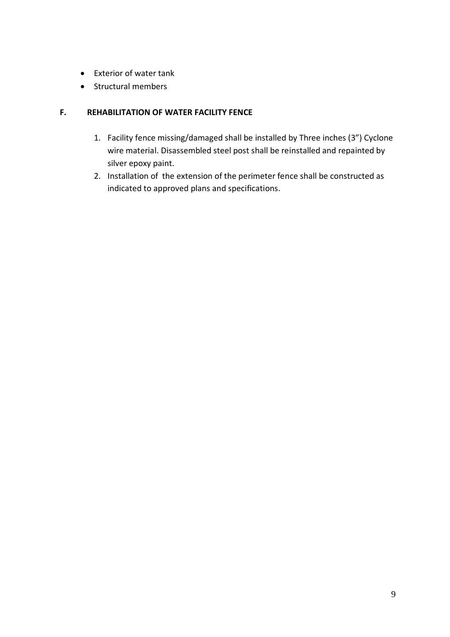- Exterior of water tank
- Structural members

## **F. REHABILITATION OF WATER FACILITY FENCE**

- 1. Facility fence missing/damaged shall be installed by Three inches (3") Cyclone wire material. Disassembled steel post shall be reinstalled and repainted by silver epoxy paint.
- 2. Installation of the extension of the perimeter fence shall be constructed as indicated to approved plans and specifications.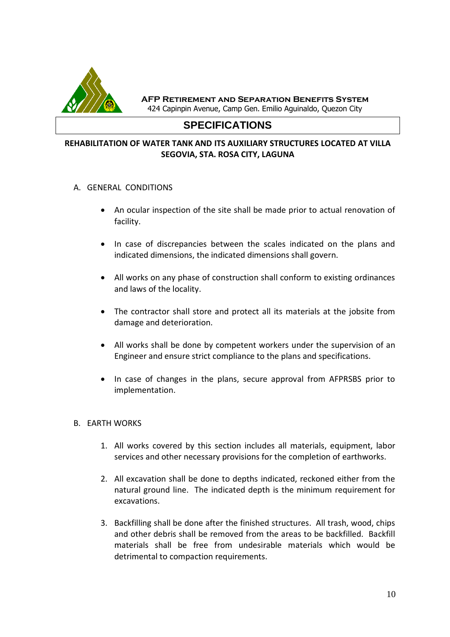

**AFP Retirement and Separation Benefits System** 424 Capinpin Avenue, Camp Gen. Emilio Aguinaldo, Quezon City

# **SPECIFICATIONS**

#### **REHABILITATION OF WATER TANK AND ITS AUXILIARY STRUCTURES LOCATED AT VILLA SEGOVIA, STA. ROSA CITY, LAGUNA**

- A. GENERAL CONDITIONS
	- An ocular inspection of the site shall be made prior to actual renovation of facility.
	- In case of discrepancies between the scales indicated on the plans and indicated dimensions, the indicated dimensions shall govern.
	- All works on any phase of construction shall conform to existing ordinances and laws of the locality.
	- The contractor shall store and protect all its materials at the jobsite from damage and deterioration.
	- All works shall be done by competent workers under the supervision of an Engineer and ensure strict compliance to the plans and specifications.
	- In case of changes in the plans, secure approval from AFPRSBS prior to implementation.

#### B. EARTH WORKS

- 1. All works covered by this section includes all materials, equipment, labor services and other necessary provisions for the completion of earthworks.
- 2. All excavation shall be done to depths indicated, reckoned either from the natural ground line. The indicated depth is the minimum requirement for excavations.
- 3. Backfilling shall be done after the finished structures. All trash, wood, chips and other debris shall be removed from the areas to be backfilled. Backfill materials shall be free from undesirable materials which would be detrimental to compaction requirements.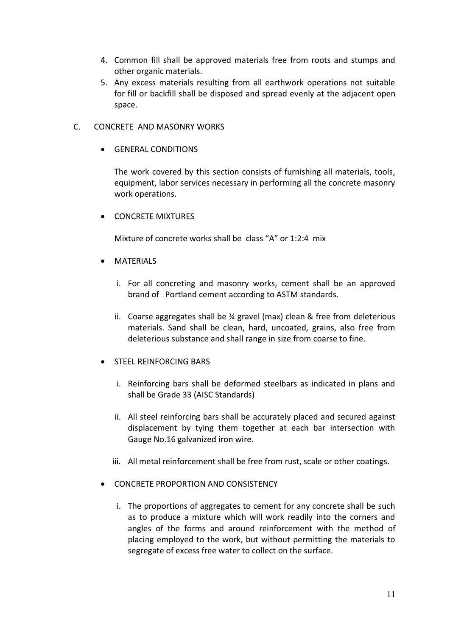- 4. Common fill shall be approved materials free from roots and stumps and other organic materials.
- 5. Any excess materials resulting from all earthwork operations not suitable for fill or backfill shall be disposed and spread evenly at the adjacent open space.
- C. CONCRETE AND MASONRY WORKS
	- GENERAL CONDITIONS

The work covered by this section consists of furnishing all materials, tools, equipment, labor services necessary in performing all the concrete masonry work operations.

**• CONCRETE MIXTURES** 

Mixture of concrete works shall be class "A" or 1:2:4 mix

- MATERIALS
	- i. For all concreting and masonry works, cement shall be an approved brand of Portland cement according to ASTM standards.
	- ii. Coarse aggregates shall be ¾ gravel (max) clean & free from deleterious materials. Sand shall be clean, hard, uncoated, grains, also free from deleterious substance and shall range in size from coarse to fine.
- **STEEL REINFORCING BARS** 
	- i. Reinforcing bars shall be deformed steelbars as indicated in plans and shall be Grade 33 (AISC Standards)
	- ii. All steel reinforcing bars shall be accurately placed and secured against displacement by tying them together at each bar intersection with Gauge No.16 galvanized iron wire.
	- iii. All metal reinforcement shall be free from rust, scale or other coatings.
- **CONCRETE PROPORTION AND CONSISTENCY** 
	- i. The proportions of aggregates to cement for any concrete shall be such as to produce a mixture which will work readily into the corners and angles of the forms and around reinforcement with the method of placing employed to the work, but without permitting the materials to segregate of excess free water to collect on the surface.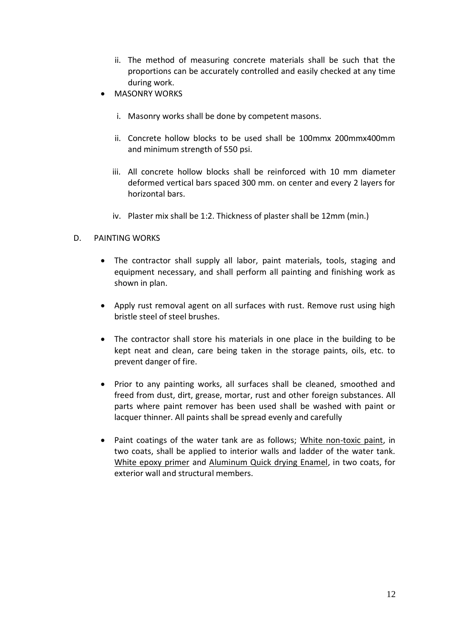- ii. The method of measuring concrete materials shall be such that the proportions can be accurately controlled and easily checked at any time during work.
- MASONRY WORKS
	- i. Masonry works shall be done by competent masons.
	- ii. Concrete hollow blocks to be used shall be 100mmx 200mmx400mm and minimum strength of 550 psi.
	- iii. All concrete hollow blocks shall be reinforced with 10 mm diameter deformed vertical bars spaced 300 mm. on center and every 2 layers for horizontal bars.
	- iv. Plaster mix shall be 1:2. Thickness of plaster shall be 12mm (min.)

## D. PAINTING WORKS

- The contractor shall supply all labor, paint materials, tools, staging and equipment necessary, and shall perform all painting and finishing work as shown in plan.
- Apply rust removal agent on all surfaces with rust. Remove rust using high bristle steel of steel brushes.
- The contractor shall store his materials in one place in the building to be kept neat and clean, care being taken in the storage paints, oils, etc. to prevent danger of fire.
- Prior to any painting works, all surfaces shall be cleaned, smoothed and freed from dust, dirt, grease, mortar, rust and other foreign substances. All parts where paint remover has been used shall be washed with paint or lacquer thinner. All paints shall be spread evenly and carefully
- Paint coatings of the water tank are as follows; White non-toxic paint, in two coats, shall be applied to interior walls and ladder of the water tank. White epoxy primer and Aluminum Quick drying Enamel, in two coats, for exterior wall and structural members.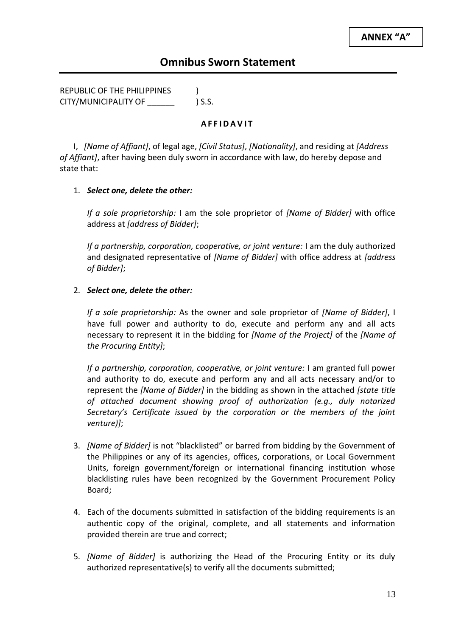REPUBLIC OF THE PHILIPPINES ) CITY/MUNICIPALITY OF \_\_\_\_\_\_ ) S.S.

#### **A F F I D A V I T**

I, *[Name of Affiant]*, of legal age, *[Civil Status]*, *[Nationality]*, and residing at *[Address of Affiant]*, after having been duly sworn in accordance with law, do hereby depose and state that:

## 1. *Select one, delete the other:*

*If a sole proprietorship:* I am the sole proprietor of *[Name of Bidder]* with office address at *[address of Bidder]*;

*If a partnership, corporation, cooperative, or joint venture:* I am the duly authorized and designated representative of *[Name of Bidder]* with office address at *[address of Bidder]*;

#### 2. *Select one, delete the other:*

*If a sole proprietorship:* As the owner and sole proprietor of *[Name of Bidder]*, I have full power and authority to do, execute and perform any and all acts necessary to represent it in the bidding for *[Name of the Project]* of the *[Name of the Procuring Entity]*;

*If a partnership, corporation, cooperative, or joint venture:* I am granted full power and authority to do, execute and perform any and all acts necessary and/or to represent the *[Name of Bidder]* in the bidding as shown in the attached *[state title of attached document showing proof of authorization (e.g., duly notarized Secretary's Certificate issued by the corporation or the members of the joint venture)]*;

- 3. *[Name of Bidder]* is not "blacklisted" or barred from bidding by the Government of the Philippines or any of its agencies, offices, corporations, or Local Government Units, foreign government/foreign or international financing institution whose blacklisting rules have been recognized by the Government Procurement Policy Board;
- 4. Each of the documents submitted in satisfaction of the bidding requirements is an authentic copy of the original, complete, and all statements and information provided therein are true and correct;
- 5. *[Name of Bidder]* is authorizing the Head of the Procuring Entity or its duly authorized representative(s) to verify all the documents submitted;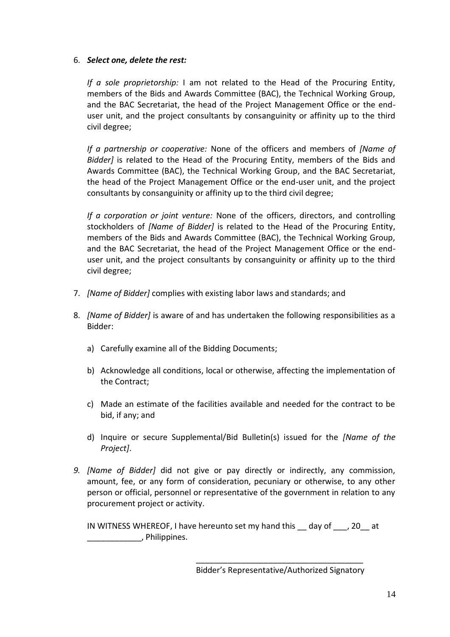## 6. *Select one, delete the rest:*

*If a sole proprietorship:* I am not related to the Head of the Procuring Entity, members of the Bids and Awards Committee (BAC), the Technical Working Group, and the BAC Secretariat, the head of the Project Management Office or the enduser unit, and the project consultants by consanguinity or affinity up to the third civil degree;

*If a partnership or cooperative:* None of the officers and members of *[Name of Bidder]* is related to the Head of the Procuring Entity, members of the Bids and Awards Committee (BAC), the Technical Working Group, and the BAC Secretariat, the head of the Project Management Office or the end-user unit, and the project consultants by consanguinity or affinity up to the third civil degree;

*If a corporation or joint venture:* None of the officers, directors, and controlling stockholders of *[Name of Bidder]* is related to the Head of the Procuring Entity, members of the Bids and Awards Committee (BAC), the Technical Working Group, and the BAC Secretariat, the head of the Project Management Office or the enduser unit, and the project consultants by consanguinity or affinity up to the third civil degree;

- 7. *[Name of Bidder]* complies with existing labor laws and standards; and
- 8. *[Name of Bidder]* is aware of and has undertaken the following responsibilities as a Bidder:
	- a) Carefully examine all of the Bidding Documents;
	- b) Acknowledge all conditions, local or otherwise, affecting the implementation of the Contract;
	- c) Made an estimate of the facilities available and needed for the contract to be bid, if any; and
	- d) Inquire or secure Supplemental/Bid Bulletin(s) issued for the *[Name of the Project]*.
- *9. [Name of Bidder]* did not give or pay directly or indirectly, any commission, amount, fee, or any form of consideration, pecuniary or otherwise, to any other person or official, personnel or representative of the government in relation to any procurement project or activity.

IN WITNESS WHEREOF, I have hereunto set my hand this \_\_ day of \_\_\_, 20\_\_ at \_\_\_\_\_\_\_\_\_\_\_\_, Philippines.

> \_\_\_\_\_\_\_\_\_\_\_\_\_\_\_\_\_\_\_\_\_\_\_\_\_\_\_\_\_\_\_\_\_\_\_\_\_ Bidder's Representative/Authorized Signatory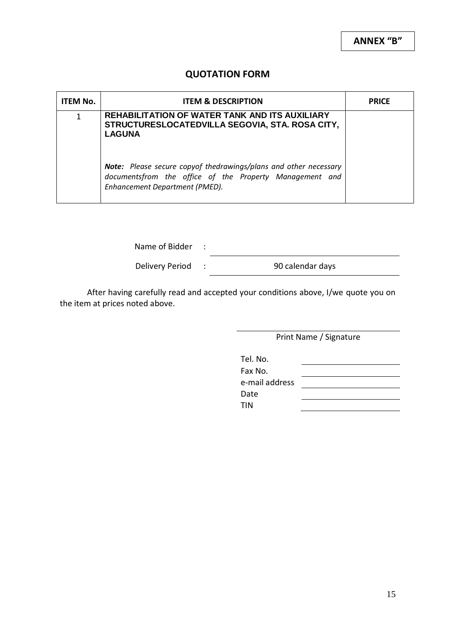## **QUOTATION FORM**

| <b>ITEM No.</b> | <b>ITEM &amp; DESCRIPTION</b>                                                                                                                                 | <b>PRICE</b> |
|-----------------|---------------------------------------------------------------------------------------------------------------------------------------------------------------|--------------|
| 1               | <b>REHABILITATION OF WATER TANK AND ITS AUXILIARY</b><br>STRUCTURESLOCATEDVILLA SEGOVIA, STA. ROSA CITY,<br><b>LAGUNA</b>                                     |              |
|                 | Note: Please secure copyof thedrawings/plans and other necessary<br>documentsfrom the office of the Property Management and<br>Enhancement Department (PMED). |              |

Name of Bidder :

Delivery Period : 90 calendar days

After having carefully read and accepted your conditions above, I/we quote you on the item at prices noted above.

Print Name / Signature

| Tel. No.       |  |
|----------------|--|
| Fax No.        |  |
| e-mail address |  |
| Date           |  |
| <b>TIN</b>     |  |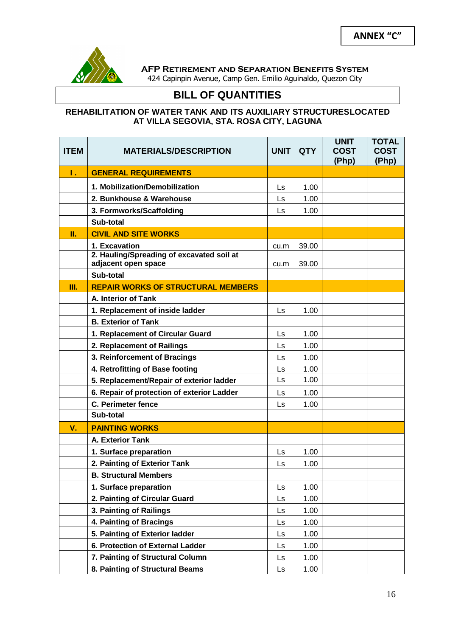

**AFP Retirement and Separation Benefits System**

424 Capinpin Avenue, Camp Gen. Emilio Aguinaldo, Quezon City

# **BILL OF QUANTITIES**

#### **REHABILITATION OF WATER TANK AND ITS AUXILIARY STRUCTURESLOCATED AT VILLA SEGOVIA, STA. ROSA CITY, LAGUNA**

| <b>ITEM</b> | <b>MATERIALS/DESCRIPTION</b>                                     | <b>UNIT</b> | <b>QTY</b> | <b>UNIT</b><br><b>COST</b><br>(Php) | <b>TOTAL</b><br><b>COST</b><br>(Php) |
|-------------|------------------------------------------------------------------|-------------|------------|-------------------------------------|--------------------------------------|
| Τ.          | <b>GENERAL REQUIREMENTS</b>                                      |             |            |                                     |                                      |
|             | 1. Mobilization/Demobilization                                   | Ls.         | 1.00       |                                     |                                      |
|             | 2. Bunkhouse & Warehouse                                         | Ls          | 1.00       |                                     |                                      |
|             | 3. Formworks/Scaffolding                                         | Ls          | 1.00       |                                     |                                      |
|             | Sub-total                                                        |             |            |                                     |                                      |
| П.          | <b>CIVIL AND SITE WORKS</b>                                      |             |            |                                     |                                      |
|             | 1. Excavation                                                    | cu.m        | 39.00      |                                     |                                      |
|             | 2. Hauling/Spreading of excavated soil at<br>adjacent open space | cu.m        | 39.00      |                                     |                                      |
|             | Sub-total                                                        |             |            |                                     |                                      |
| Ш.          | <b>REPAIR WORKS OF STRUCTURAL MEMBERS</b>                        |             |            |                                     |                                      |
|             | A. Interior of Tank                                              |             |            |                                     |                                      |
|             | 1. Replacement of inside ladder                                  | Ls          | 1.00       |                                     |                                      |
|             | <b>B. Exterior of Tank</b>                                       |             |            |                                     |                                      |
|             | 1. Replacement of Circular Guard                                 | Ls          | 1.00       |                                     |                                      |
|             | 2. Replacement of Railings                                       | Ls          | 1.00       |                                     |                                      |
|             | 3. Reinforcement of Bracings                                     | Ls          | 1.00       |                                     |                                      |
|             | 4. Retrofitting of Base footing                                  | Ls          | 1.00       |                                     |                                      |
|             | 5. Replacement/Repair of exterior ladder                         | Ls          | 1.00       |                                     |                                      |
|             | 6. Repair of protection of exterior Ladder                       | Ls          | 1.00       |                                     |                                      |
|             | <b>C. Perimeter fence</b>                                        | Ls          | 1.00       |                                     |                                      |
|             | Sub-total                                                        |             |            |                                     |                                      |
| $V_{\cdot}$ | <b>PAINTING WORKS</b>                                            |             |            |                                     |                                      |
|             | A. Exterior Tank                                                 |             |            |                                     |                                      |
|             | 1. Surface preparation                                           | Ls          | 1.00       |                                     |                                      |
|             | 2. Painting of Exterior Tank                                     | Ls          | 1.00       |                                     |                                      |
|             | <b>B. Structural Members</b>                                     |             |            |                                     |                                      |
|             | 1. Surface preparation                                           | Ls          | 1.00       |                                     |                                      |
|             | 2. Painting of Circular Guard                                    | Ls          | 1.00       |                                     |                                      |
|             | 3. Painting of Railings                                          | Ls          | 1.00       |                                     |                                      |
|             | 4. Painting of Bracings                                          | Ls          | 1.00       |                                     |                                      |
|             | 5. Painting of Exterior ladder                                   | Ls          | 1.00       |                                     |                                      |
|             | 6. Protection of External Ladder                                 | Ls          | 1.00       |                                     |                                      |
|             | 7. Painting of Structural Column                                 | Ls          | 1.00       |                                     |                                      |
|             | 8. Painting of Structural Beams                                  | Ls          | 1.00       |                                     |                                      |